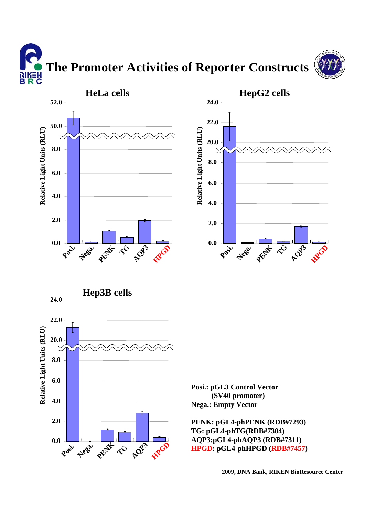**The Promoter Activities of Reporter Constructs** א∃*ו*וא<br>B R C





**Posi.**

**0.0**

**Nega.**

**PENK**

**A**Q3

 $\hat{\mathcal{R}}$ 

**HPG** 

**Posit. Nega. PEN**  $\mathcal{R}^{\mathbf{G}}$ **A**<sub>23</sub> **HPGP 24.0**

**Posi.: pGL3 Control Vector (SV40 promoter) Nega.: Empty Vector**

**PENK: pGL4-phPENK (RDB#7293) TG: pGL4-phTG(RDB#7304) AQP3:pGL4-phAQP3 (RDB#7311) HPGD: pGL4-phHPGD (RDB#7457)**

**2009, DNA Bank, RIKEN BioResource Center**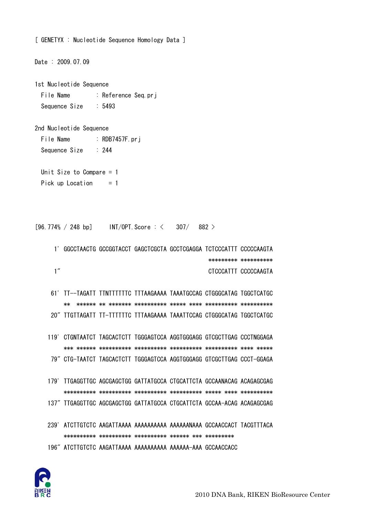

```
1st Nucleotide Sequence 
 File Name : Reference Seq.prj
  Sequence Size : 5493 
2nd Nucleotide Sequence 
 File Name : RDB7457F.prj
 Sequence Size : 244
  Unit Size to Compare = 1 
 Pick up Location = 1[96.774\% / 248 \text{ bp}] INT/OPT. Score : < 307/ 882 >
      1' GGCCTAACTG GCCGGTACCT GAGCTCGCTA GCCTCGAGGA TCTCCCATTT CCCCCAAGTA 
                                                     ********* ********** 
     1" CTCCCATTT CCCCCAAGTA
     61' TT--TAGATT TTNTTTTTTC TTTAAGAAAA TAAATGCCAG CTGGGCATAG TGGCTCATGC 
         ** ****** ** ******* ********** ***** **** ********** ********** 
      20" TTGTTAGATT TT-TTTTTTC TTTAAGAAAA TAAATTCCAG CTGGGCATAG TGGCTCATGC 
     119' CTGNTAATCT TAGCACTCTT TGGGAGTCCA AGGTGGGAGG GTCGCTTGAG CCCTNGGAGA 
         *** ****** ********** ********** ********** ********** **** ***** 
     79" CTG-TAATCT TAGCACTCTT TGGGAGTCCA AGGTGGGAGG GTCGCTTGAG CCCT-GGAGA 
     179' TTGAGGTTGC AGCGAGCTGG GATTATGCCA CTGCATTCTA GCCAANACAG ACAGAGCGAG 
         ********** ********** ********** ********** ***** **** ********** 
     137" TTGAGGTTGC AGCGAGCTGG GATTATGCCA CTGCATTCTA GCCAA-ACAG ACAGAGCGAG 
    239' ATCTTGTCTC AAGATTAAAA AAAAAAAAAA AAAAAANAAA GCCAACCACT TACGTTTACA 
         ********** ********** ********** ****** *** ********* 
     196" ATCTTGTCTC AAGATTAAAA AAAAAAAAAA AAAAAA-AAA GCCAACCACC
```
[ GENETYX : Nucleotide Sequence Homology Data ]

Date : 2009.07.09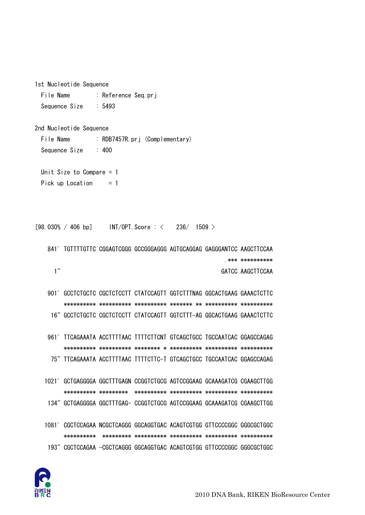

1081' CGCTCCAGAA NCGCTCAGGG GGCAGGTGAC ACAGTCGTGG GTTCCCCGGC GGGCGCTGGC 193" CGCTCCAGAA -CGCTCAGGG GGCAGGTGAC ACAGTCGTGG GTTCCCCGGC GGGCGCTGGC

1021' GCTGAGGGGA GGCTTTGAGN CCGGTCTGCG AGTCCGGAAG GCAAAGATCG CGAAGCTTGG 134" GCTGAGGGGA GGCTTTGAG- CCGGTCTGCG AGTCCGGAAG GCAAAGATCG CGAAGCTTGG

961' TTCAGAAATA ACCTTTTAAC TTTTCTTCNT GTCAGCTGCC TGCCAATCAC GGAGCCAGAG 75" TTCAGAAATA ACCTTTTAAC TTTTCTTC-T GTCAGCTGCC TGCCAATCAC GGAGCCAGAG

901' GCCTCTGCTC CGCTCTCCTT CTATCCAGTT GGTCTTTNAG GGCACTGAAG GAAACTCTTC 16" GCCTCTGCTC CGCTCTCCTT CTATCCAGTT GGTCTTT-AG GGCACTGAAG GAAACTCTTC

**\*\*\* \*\*\*\*\*\*\*\*\*\***  $1''$ GATCC AAGCTTCCAA

841' TGTTTTGTTC CGGAGTCGGG GCCGGGAGGG AGTGCAGGAG GAGGGANTCC AAGCTTCCAA

 $[98.030\% / 406 bp]$  $INT/OPT$ . Score  $:$   $\leq$  $236/$  1509  $>$ 

: RDB7457R.prj (Complementary)

```
Unit Size to Compare = 1Pick up Location
                    = 1
```
File Name : Reference Seq.prj Sequence Size  $:5493$ 

 $: 400$ 

1st Nucleotide Sequence

2nd Nucleotide Sequence

File Name

Sequence Size